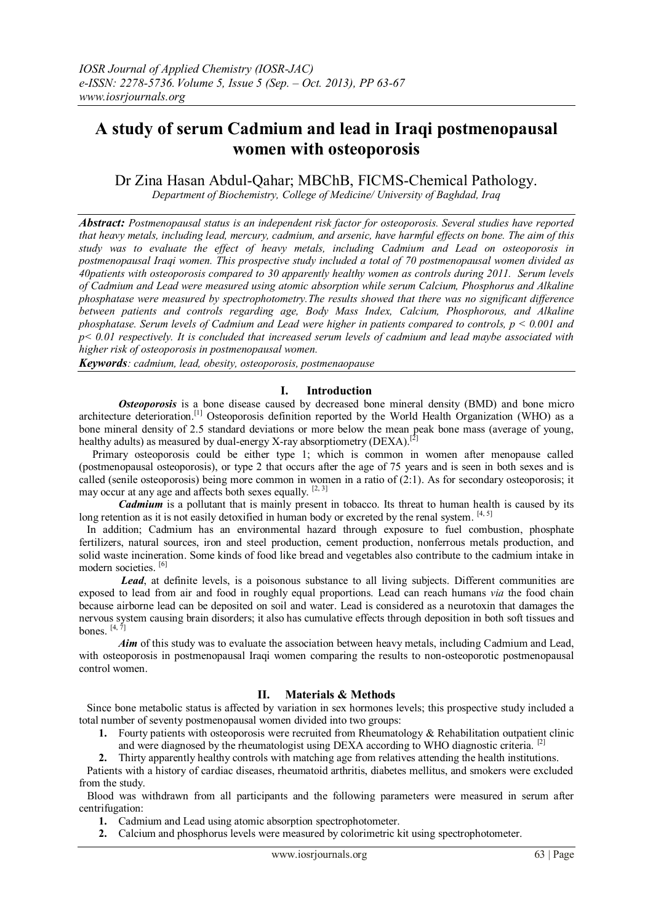# **A study of serum Cadmium and lead in Iraqi postmenopausal women with osteoporosis**

Dr Zina Hasan Abdul-Qahar; MBChB, FICMS-Chemical Pathology.

*Department of Biochemistry, College of Medicine/ University of Baghdad, Iraq*

*Abstract: Postmenopausal status is an independent risk factor for osteoporosis. Several studies have reported that heavy metals, including lead, mercury, cadmium, and arsenic, have harmful effects on bone. The aim of this study was to evaluate the effect of heavy metals, including Cadmium and Lead on osteoporosis in postmenopausal Iraqi women. This prospective study included a total of 70 postmenopausal women divided as 40patients with osteoporosis compared to 30 apparently healthy women as controls during 2011. Serum levels of Cadmium and Lead were measured using atomic absorption while serum Calcium, Phosphorus and Alkaline phosphatase were measured by spectrophotometry.The results showed that there was no significant difference between patients and controls regarding age, Body Mass Index, Calcium, Phosphorous, and Alkaline phosphatase. Serum levels of Cadmium and Lead were higher in patients compared to controls, p < 0.001 and p< 0.01 respectively. It is concluded that increased serum levels of cadmium and lead maybe associated with higher risk of osteoporosis in postmenopausal women.*

*Keywords: cadmium, lead, obesity, osteoporosis, postmenaopause*

# **I. Introduction**

**Osteoporosis** is a bone [disease](http://en.wikipedia.org/wiki/Disease) caused by decreased [bone mineral density](http://en.wikipedia.org/wiki/Bone_mineral_density) (BMD) and bone micro architecture deterioration.[\[1\]](http://en.wikipedia.org/wiki/Osteoporosis#cite_note-AppTher-1) Osteoporosis definition reported by the [World Health Organization](http://en.wikipedia.org/wiki/World_Health_Organization) (WHO) as a bone mineral density of 2.5 [standard deviations](http://en.wikipedia.org/wiki/Standard_deviation) or more below the mean peak bone mass (average of young, healthy adults) as measured by dual-energy [X-ray absorptiometry](http://en.wikipedia.org/wiki/Dual-energy_X-ray_absorptiometry) (DEXA).<sup>[\[2\]](http://en.wikipedia.org/wiki/Osteoporosis#cite_note-WHO1994-2)</sup>

Primary osteoporosis could be either type 1; which is common in women after menopause called (postmenopausal osteoporosis), or type 2 that occurs after the age of 75 years and is seen in both sexes and is called (senile osteoporosis) being more common in women in a ratio of (2:1). As for secondary osteoporosis; it may occur at any age and affects both sexes equally. [\[2, 3\]](http://en.wikipedia.org/wiki/Osteoporosis#cite_note-WHO1994-2)

*Cadmium* is a pollutant that is mainly present in tobacco. Its threat to human health is caused by its long retention as it is not easily detoxified in human body or excreted by the renal system.  $[4, 5]$ 

 In addition; Cadmium has an environmental hazard through exposure to fuel combustion, phosphate fertilizers, natural sources, iron and steel production, cement production, nonferrous metals production, and solid waste incineration. Some kinds of food like bread and vegetables also contribute to the cadmium intake in modern societies. [\[6\]](http://en.wikipedia.org/wiki/Cadmium#cite_note-ReferenceA-2)

Lead, at definite levels, is a poisonous substance to all living subjects. Different communities are exposed to lead from air and food in roughly equal proportions. Lead can reach humans *via* the food chain because airborne lead can be deposited on soil and water. Lead is considered as a [neurotoxin](http://en.wikipedia.org/wiki/Neurotoxin) that damages the [nervous system](http://en.wikipedia.org/wiki/Nervous_system) causing [brain](http://en.wikipedia.org/wiki/Brain) disorders; it also has cumulative effects through deposition in both soft tissues and bones.  $[4, 7]$ 

*Aim* of this study was to evaluate the association between heavy metals, including Cadmium and Lead. with osteoporosis in postmenopausal Iraqi women comparing the results to non-osteoporotic postmenopausal control women.

# **II. Materials & Methods**

 Since bone metabolic status is affected by variation in sex hormones levels; this prospective study included a total number of seventy postmenopausal women divided into two groups:

- **1.** Fourty patients with osteoporosis were recruited from Rheumatology & Rehabilitation outpatient clinic and were diagnosed by the rheumatologist using DEXA according to WHO diagnostic criteria. <sup>[\[2\]](http://en.wikipedia.org/wiki/Osteoporosis#cite_note-WHO1994-2)</sup>
- **2.** Thirty apparently healthy controls with matching age from relatives attending the health institutions.

 Patients with a history of cardiac diseases, rheumatoid arthritis, diabetes mellitus, and smokers were excluded from the study.

 Blood was withdrawn from all participants and the following parameters were measured in serum after centrifugation:

- **1.** Cadmium and Lead using atomic absorption spectrophotometer.
- **2.** Calcium and phosphorus levels were measured by colorimetric kit using spectrophotometer.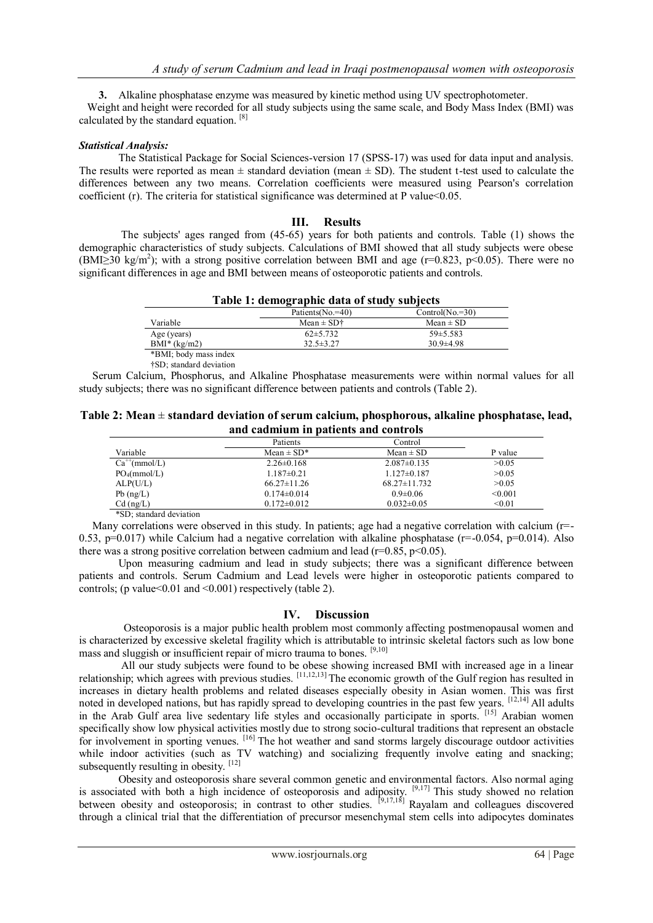**3.** Alkaline phosphatase enzyme was measured by kinetic method using UV spectrophotometer.

 Weight and height were recorded for all study subjects using the same scale, and Body Mass Index (BMI) was calculated by the standard equation. [\[8\]](http://en.wikipedia.org/wiki/Osteoporosis#cite_note-WHO1994-2)

### *Statistical Analysis:*

 The Statistical Package for Social Sciences-version 17 (SPSS-17) was used for data input and analysis. The results were reported as mean  $\pm$  standard deviation (mean  $\pm$  SD). The student t-test used to calculate the differences between any two means. Correlation coefficients were measured using Pearson's correlation coefficient (r). The criteria for statistical significance was determined at P value  $< 0.05$ .

# **III. Results**

 The subjects' ages ranged from (45-65) years for both patients and controls. Table (1) shows the demographic characteristics of study subjects. Calculations of BMI showed that all study subjects were obese (BMI $\geq$ 30 kg/m<sup>2</sup>); with a strong positive correlation between BMI and age (r=0.823, p<0.05). There were no significant differences in age and BMI between means of osteoporotic patients and controls.

| Table 1: demographic data of study subjects |                                               |                   |  |
|---------------------------------------------|-----------------------------------------------|-------------------|--|
|                                             | Patients ( $No = 40$ )                        | $Control(No.=30)$ |  |
| Variable                                    | Mean $\pm$ SD <sup><math>\dagger</math></sup> | $Mean \pm SD$     |  |
| Age (years)                                 | $62\pm5.732$                                  | $59\pm5.583$      |  |
| $BMI^*(kg/m2)$                              | $32.5 \pm 3.27$                               | $30.9 \pm 4.98$   |  |
| *BMI; body mass index                       |                                               |                   |  |

†SD; standard deviation

 Serum Calcium, Phosphorus, and Alkaline Phosphatase measurements were within normal values for all study subjects; there was no significant difference between patients and controls (Table 2).

#### **Table 2: Mean** ± **standard deviation of serum calcium, phosphorous, alkaline phosphatase, lead, and cadmium in patients and controls**

|                   | Patients          | Control            |         |
|-------------------|-------------------|--------------------|---------|
| Variable          | Mean $\pm$ SD*    | Mean $\pm$ SD      | P value |
| $Ca^{++}(mmol/L)$ | $2.26 \pm 0.168$  | $2.087 \pm 0.135$  | >0.05   |
| $PO_4(mmol/L)$    | $1.187\pm0.21$    | $1.127 \pm 0.187$  | >0.05   |
| ALP(U/L)          | $66.27 \pm 11.26$ | $68.27 \pm 11.732$ | >0.05   |
| $Pb$ (ng/L)       | $0.174 \pm 0.014$ | $0.9 \pm 0.06$     | < 0.001 |
| $Cd$ (ng/L)       | $0.172 \pm 0.012$ | $0.032 \pm 0.05$   | < 0.01  |

\*SD; standard deviation

Many correlations were observed in this study. In patients; age had a negative correlation with calcium (r=-0.53, p=0.017) while Calcium had a negative correlation with alkaline phosphatase ( $r=-0.054$ , p=0.014). Also there was a strong positive correlation between cadmium and lead ( $r=0.85$ ,  $p<0.05$ ).

 Upon measuring cadmium and lead in study subjects; there was a significant difference between patients and controls. Serum Cadmium and Lead levels were higher in osteoporotic patients compared to controls; (p value  $0.01$  and  $0.001$ ) respectively (table 2).

# **IV. Discussion**

 Osteoporosis is a major public health problem most commonly affecting postmenopausal women and is characterized by excessive skeletal fragility which is attributable to intrinsic skeletal factors such as low bone mass and sluggish or insufficient repair of micro trauma to bones. [9,10]

 All our study subjects were found to be obese showing increased BMI with increased age in a linear relationship; which agrees with previous studies. [11,12,13] The economic growth of the Gulf region has resulted in increases in dietary health problems and related diseases especially obesity in Asian women. This was first noted in developed nations, but has rapidly spread to developing countries in the past few years. [12,14] All adults in the Arab Gulf area live sedentary life styles and occasionally participate in sports. [15] Arabian women specifically show low physical activities mostly due to strong socio-cultural traditions that represent an obstacle for involvement in sporting venues. [16] The hot weather and sand storms largely discourage outdoor activities while indoor activities (such as TV watching) and socializing frequently involve eating and snacking; subsequently resulting in obesity. [12]

 Obesity and osteoporosis share several common genetic and environmental factors. Also normal aging is associated with both a high incidence of osteoporosis and adiposity. <sup>[9,17]</sup> This study showed no relation between obesity and osteoporosis; in contrast to other studies.  $[9,17,18]$  Rayalam and colleagues discovered through a clinical trial that the differentiation of precursor mesenchymal stem cells into adipocytes dominates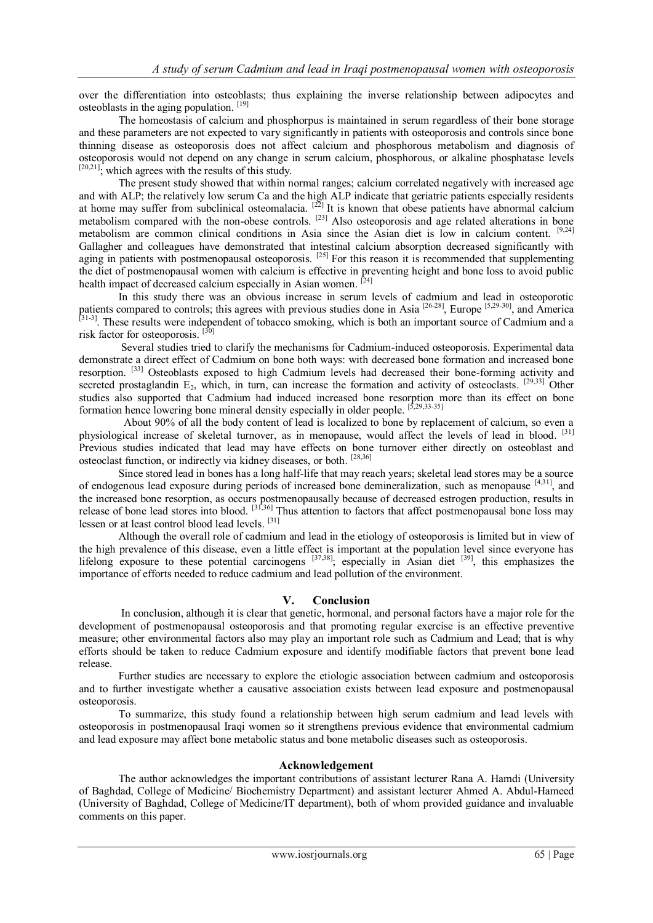over the differentiation into osteoblasts; thus explaining the inverse relationship between adipocytes and osteoblasts in the aging population. [19]

 The homeostasis of calcium and phosphorpus is maintained in serum regardless of their bone storage and these parameters are not expected to vary significantly in patients with osteoporosis and controls since bone thinning disease as osteoporosis does not affect calcium and phosphorous metabolism and diagnosis of osteoporosis would not depend on any change in serum calcium, phosphorous, or alkaline phosphatase levels  $[20,21]$ ; which agrees with the results of this study.

 The present study showed that within normal ranges; calcium correlated negatively with increased age and with ALP; the relatively low serum Ca and the high ALP indicate that geriatric patients especially residents at home may suffer from subclinical osteomalacia.  $[22]$  It is known that obese patients have abnormal calcium metabolism compared with the non-obese controls. <sup>[23]</sup> Also osteoporosis and age related alterations in bone metabolism are common clinical conditions in Asia since the Asian diet is low in calcium content. [9,24] Gallagher and colleagues have demonstrated that intestinal calcium absorption decreased significantly with aging in patients with postmenopausal osteoporosis. <sup>[25]</sup> For this reason it is recommended that supplementing the diet of postmenopausal women with calcium is effective in preventing height and bone loss to avoid public health impact of decreased calcium especially in Asian women. <sup>[24]</sup>

 In this study there was an obvious increase in serum levels of cadmium and lead in osteoporotic patients compared to controls; this agrees with previous studies done in Asia<sup>[26-28]</sup>, Europe<sup>[5,29-30]</sup>, and America<sup>[31-3]</sup>. These results were independent of tobacco smoking, which is both an important source of Cadmi risk factor for osteoporosis.<sup>[30]</sup>

 Several studies tried to clarify the mechanisms for Cadmium-induced osteoporosis. Experimental data demonstrate a direct effect of Cadmium on bone both ways: with decreased bone formation and increased bone resorption. [33] Osteoblasts exposed to high Cadmium levels had decreased their bone-forming activity and secreted prostaglandin  $E_2$ , which, in turn, can increase the formation and activity of osteoclasts. <sup>[29,33]</sup> Other studies also supported that Cadmium had induced increased bone resorption more than its effect on bone formation hence lowering bone mineral density especially in older people. [5,29,33-35]

 About 90% of all the body content of lead is localized to bone by replacement of calcium, so even a physiological increase of skeletal turnover, as in menopause, would affect the levels of lead in blood. [31] Previous studies indicated that lead may have effects on bone turnover either directly on osteoblast and osteoclast function, or indirectly via kidney diseases, or both. [28,36]

 Since stored lead in bones has a long half-life that may reach years; skeletal lead stores may be a source of endogenous lead exposure during periods of increased bone demineralization, such as menopause [4,31], and the increased bone resorption, as occurs postmenopausally because of decreased estrogen production, results in release of bone lead stores into blood.  $[31,36]$  Thus attention to factors that affect postmenopausal bone loss may lessen or at least control blood lead levels.<sup>[31]</sup>

 Although the overall role of cadmium and lead in the etiology of osteoporosis is limited but in view of the high prevalence of this disease, even a little effect is important at the population level since everyone has lifelong exposure to these potential carcinogens <sup>[37,38]</sup>; especially in Asian diet <sup>[39]</sup>, this emphasizes the importance of efforts needed to reduce cadmium and lead pollution of the environment.

# **V. Conclusion**

 In conclusion, although it is clear that genetic, hormonal, and personal factors have a major role for the development of postmenopausal osteoporosis and that promoting regular exercise is an effective preventive measure; other environmental factors also may play an important role such as Cadmium and Lead; that is why efforts should be taken to reduce Cadmium exposure and identify modifiable factors that prevent bone lead release.

 Further studies are necessary to explore the etiologic association between cadmium and osteoporosis and to further investigate whether a causative association exists between lead exposure and postmenopausal osteoporosis.

 To summarize, this study found a relationship between high serum cadmium and lead levels with osteoporosis in postmenopausal Iraqi women so it strengthens previous evidence that environmental cadmium and lead exposure may affect bone metabolic status and bone metabolic diseases such as osteoporosis.

# **Acknowledgement**

 The author acknowledges the important contributions of assistant lecturer Rana A. Hamdi (University of Baghdad, College of Medicine/ Biochemistry Department) and assistant lecturer Ahmed A. Abdul-Hameed (University of Baghdad, College of Medicine/IT department), both of whom provided guidance and invaluable comments on this paper.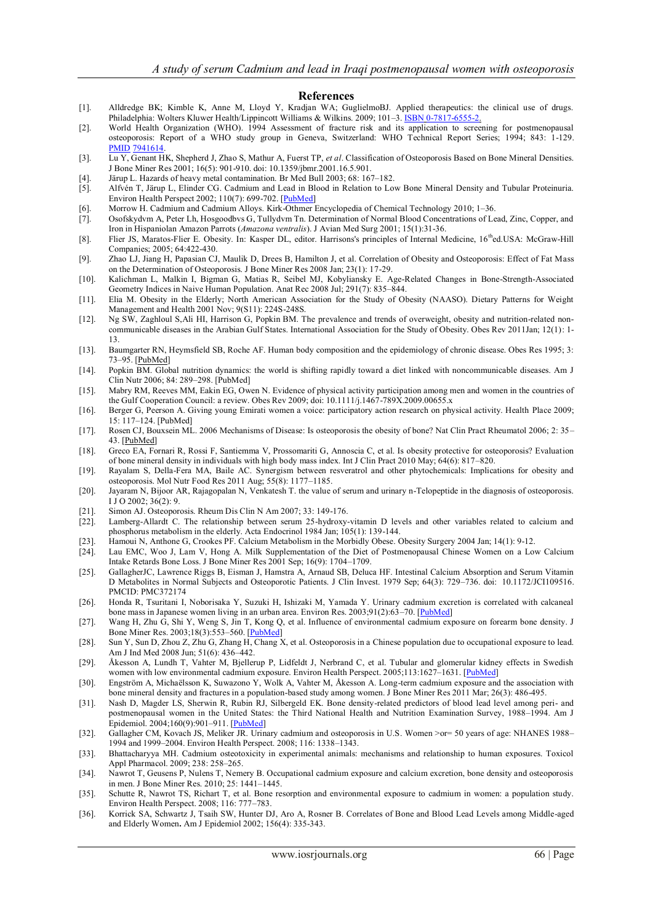#### **References**

- [1]. Alldredge BK; Kimble K, Anne M, Lloyd Y, Kradjan WA; GuglielmoBJ. Applied therapeutics: the clinical use of drugs. Philadelphia: Wolters Kluwer Health/Lippincott Williams & Wilkins. 2009; 101-3. [ISBN](http://en.wikipedia.org/wiki/International_Standard_Book_Number) [0-7817-6555-2.](http://en.wikipedia.org/wiki/Special:BookSources/0-7817-6555-2)
- [2]. World Health Organization (WHO). 1994 Assessment of fracture risk and its application to screening for postmenopausal osteoporosis: Report of a WHO study group in Geneva, Switzerland: WHO Technical Report Series; 1994; 843: 1-129. [PMID](http://en.wikipedia.org/wiki/PubMed_Identifier) [7941614.](http://www.ncbi.nlm.nih.gov/pubmed/7941614)
- [3]. Lu Y, Genant HK, Shepherd J, Zhao S, Mathur A, Fuerst TP, *et al*. Classification of Osteoporosis Based on Bone Mineral Densities. J Bone Miner Res 2001; 16(5): 901-910. doi: 10.1359/jbmr.2001.16.5.901.
- [4]. Järup L. Hazards of heavy metal contamination. Br Med Bull 2003; 68: 167–182.
- [5]. Alfvén T, Järup L, Elinder CG. Cadmium and Lead in Blood in Relation to Low Bone Mineral Density and Tubular Proteinuria. Environ Health Perspect 2002; 110(7): 699-702. [\[PubMed\]](http://www.ncbi.nlm.nih.gov/pubmed/12117647)
- [6]. Morrow H. Cadmium and Cadmium Alloys. [Kirk-Othmer Encyclopedia of Chemical Technology](http://en.wikipedia.org/w/index.php?title=Kirk-Othmer_Encyclopedia_of_Chemical_Technology&action=edit&redlink=1) 2010; 1–36.
- [7]. Osofskydvm A, Peter Lh, Hosgoodbvs G, Tullydvm Tn. Determination of Normal Blood Concentrations of Lead, Zinc, Copper, and Iron in Hispaniolan Amazon Parrots (*Amazona ventralis*). J Avian Med Surg 2001; 15(1):31-36.
- [8]. Flier JS, Maratos-Flier E. Obesity. In: Kasper DL, editor. Harrisons's principles of Internal Medicine, 16thed.USA: McGraw-Hill Companies; 2005; 64:422-430.
- [9]. Zhao LJ, Jiang H, Papasian CJ, Maulik D, Drees B, Hamilton J, et al. Correlation of Obesity and Osteoporosis: Effect of Fat Mass on the Determination of Osteoporosis. J Bone Miner Res 2008 Jan; 23(1): 17-29.
- [10]. Kalichman L, Malkin I, Bigman G, Matias R, Seibel MJ, Kobyliansky E. Age-Related Changes in Bone-Strength-Associated Geometry Indices in Naive Human Population. Anat Rec 2008 Jul; 291(7): 835–844.
- [11]. Elia M. Obesity in the Elderly; North American Association for the Study of Obesity (NAASO). Dietary Patterns for Weight Management and Health 2001 Nov; 9(S11): 224S-248S.
- [12]. Ng SW, Zaghloul S,Ali HI, Harrison G, Popkin BM. The prevalence and trends of overweight, obesity and nutrition-related noncommunicable diseases in the Arabian Gulf States. International Association for the Study of Obesity. Obes Rev 2011Jan; 12(1): 1- 13.
- [13]. Baumgarter RN, Heymsfield SB, Roche AF. Human body composition and the epidemiology of chronic disease. Obes Res 1995; 3: 73–95. [\[PubMed\]](http://onlinelibrary.wiley.com/resolve/reference/PMED?id=7712363)
- [14]. Popkin BM. Global nutrition dynamics: the world is shifting rapidly toward a diet linked with noncommunicable diseases. Am J Clin Nutr 2006; 84: 289–298. [\[PubMed\]](http://onlinelibrary.wiley.com/resolve/reference/PMED?id=16895874)
- [15]. Mabry RM, Reeves MM, Eakin EG, Owen N. Evidence of physical activity participation among men and women in the countries of the Gulf Cooperation Council: a review. Obes Rev 2009; doi: 10.1111/j.1467-789X.2009.00655.x
- [16]. Berger G, Peerson A. Giving young Emirati women a voice: participatory action research on physical activity. Health Place 2009; 15: 117–124. [\[PubMed\]](http://onlinelibrary.wiley.com/resolve/reference/PMED?id=18515171)
- [17]. Rosen CJ, Bouxsein ML. 2006 Mechanisms of Disease: Is osteoporosis the obesity of bone? Nat Clin Pract Rheumatol 2006; 2: 35– 43. [\[PubMed\]](http://onlinelibrary.wiley.com/resolve/reference/PMED?id=16932650)
- [18]. Greco EA, Fornari R, Rossi F, Santiemma V, Prossomariti G, Annoscia C, et al. Is obesity protective for osteoporosis? Evaluation of bone mineral density in individuals with high body mass index. Int J Clin Pract 2010 May; 64(6): 817–820.
- [19]. Rayalam S, Della-Fera MA, Baile AC. Synergism between resveratrol and other phytochemicals: Implications for obesity and osteoporosis. Mol Nutr Food Res 2011 Aug; 55(8): 1177–1185.
- [20]. Jayaram N, Bijoor AR, Rajagopalan N, Venkatesh T. the value of serum and urinary n-Telopeptide in the diagnosis of osteoporosis. I J O 2002; 36(2): 9.
- [21]. Simon AJ. Osteoporosis. Rheum Dis Clin N Am 2007; 33: 149-176.
- [22]. [Lamberg-Allardt](http://www.eje-online.org/search?author1=C.+Lamberg-Allardt&sortspec=date&submit=Submit) C. The relationship between serum 25-hydroxy-vitamin D levels and other variables related to calcium and phosphorus metabolism in the elderly. Acta Endocrinol 1984 Jan; 105(1): 139-144.
- [23]. Hamoui N, Anthone G, Crookes PF. Calcium Metabolism in the Morbidly Obese. [Obesity Surgery](http://link.springer.com/journal/11695) 2004 Jan; 14(1): 9-12.
- [24]. Lau EMC, Woo J, Lam V, Hong A. Milk Supplementation of the Diet of Postmenopausal Chinese Women on a Low Calcium Intake Retards Bone Loss. J Bone Miner Res 2001 Sep; 16(9): 1704–1709.
- [25]. [GallagherJ](http://www.ncbi.nlm.nih.gov/pubmed/?term=Gallagher%20JC%5Bauth%5D)C, [Lawrence Riggs](http://www.ncbi.nlm.nih.gov/pubmed/?term=Riggs%20BL%5Bauth%5D) B[, Eisman](http://www.ncbi.nlm.nih.gov/pubmed/?term=Eisman%20J%5Bauth%5D) J, [Hamstra](http://www.ncbi.nlm.nih.gov/pubmed/?term=Hamstra%20A%5Bauth%5D) A[, Arnaud](http://www.ncbi.nlm.nih.gov/pubmed/?term=Arnaud%20SB%5Bauth%5D) SB, [Deluca](http://www.ncbi.nlm.nih.gov/pubmed/?term=Deluca%20HF%5Bauth%5D) HF. Intestinal Calcium Absorption and Serum Vitamin D Metabolites in Normal Subjects and Osteoporotic Patients. J Clin Invest. 1979 Sep; 64(3): 729–736. doi: [10.1172/JCI109516.](http://dx.doi.org/10.1172%2FJCI109516)  PMCID: PMC372174
- [26]. Honda R, Tsuritani I, Noborisaka Y, Suzuki H, Ishizaki M, Yamada Y. Urinary cadmium excretion is correlated with calcaneal bone mass in Japanese women living in an urban area. Environ Res. 2003;91(2):63–70. [\[PubMed\]](http://www.ncbi.nlm.nih.gov/pubmed/12584006)
- [27]. Wang H, Zhu G, Shi Y, Weng S, Jin T, Kong Q, et al. Influence of environmental cadmium exposure on forearm bone density. J Bone Miner Res. 2003;18(3):553–560. [\[PubMed\]](http://www.ncbi.nlm.nih.gov/pubmed/12619941)
- [28]. Sun Y, Sun D, Zhou Z, Zhu G, Zhang H, Chang X, et al. Osteoporosis in a Chinese population due to occupational exposure to lead. Am J Ind Med 2008 Jun; 51(6): 436–442.
- [29]. Åkesson A, Lundh T, Vahter M, Bjellerup P, Lidfeldt J, Nerbrand C, et al. Tubular and glomerular kidney effects in Swedish women with low environmental cadmium exposure. Environ Health Perspect. 2005;113:1627-1631. [\[PubMed\]](http://www.ncbi.nlm.nih.gov/pubmed/16263522)
- [30]. Engström A, Michaëlsson K, Suwazono Y, Wolk A, Vahter M, Åkesson A. Long-term cadmium exposure and the association with bone mineral density and fractures in a population-based study among women. J Bone Miner Res 2011 Mar; 26(3): 486-495.
- [31]. Nash D, Magder LS, Sherwin R, Rubin RJ, Silbergeld EK. Bone density-related predictors of blood lead level among peri- and postmenopausal women in the United States: the Third National Health and Nutrition Examination Survey, 1988–1994. Am J Epidemiol. 2004;160(9):901–911. [\[PubMed\]](http://www.ncbi.nlm.nih.gov/pubmed/15496543)
- [32]. Gallagher CM, Kovach JS, Meliker JR. Urinary cadmium and osteoporosis in U.S. Women >or= 50 years of age: NHANES 1988– 1994 and 1999–2004. Environ Health Perspect. 2008; 116: 1338–1343.
- [33]. Bhattacharyya MH. Cadmium osteotoxicity in experimental animals: mechanisms and relationship to human exposures. Toxicol Appl Pharmacol. 2009; 238: 258–265.
- [34]. Nawrot T, Geusens P, Nulens T, Nemery B. Occupational cadmium exposure and calcium excretion, bone density and osteoporosis in men. J Bone Miner Res. 2010; 25: 1441–1445.
- [35]. Schutte R, Nawrot TS, Richart T, et al. Bone resorption and environmental exposure to cadmium in women: a population study. Environ Health Perspect. 2008; 116: 777–783.
- [36]. [Korrick](http://aje.oxfordjournals.org/search?author1=Susan+A.+Korrick&sortspec=date&submit=Submit) SA, [Schwartz](http://aje.oxfordjournals.org/search?author1=Joel+Schwartz&sortspec=date&submit=Submit) J, [Tsaih](http://aje.oxfordjournals.org/search?author1=Shirng-Wern+Tsaih&sortspec=date&submit=Submit) SW[, Hunter](http://aje.oxfordjournals.org/search?author1=David+J.+Hunter&sortspec=date&submit=Submit) DJ, [Aro](http://aje.oxfordjournals.org/search?author1=Antonio+Aro&sortspec=date&submit=Submit) A, [Rosner](http://aje.oxfordjournals.org/search?author1=Bernard+Rosner&sortspec=date&submit=Submit) B. Correlates of Bone and Blood Lead Levels among Middle-aged and Elderly Women**.** Am J Epidemiol 2002; 156(4): 335-343.